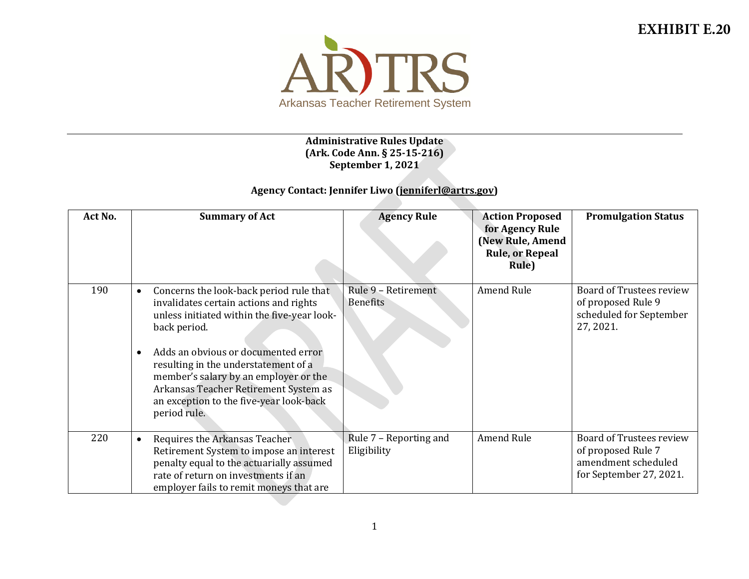

## **Administrative Rules Update (Ark. Code Ann. § 25-15-216) September 1, 2021**

## **Agency Contact: Jennifer Liwo [\(jenniferl@artrs.gov\)](mailto:jenniferl@artrs.gov)**

| Act No. | <b>Summary of Act</b>                                                                                                                                                                                                                                                                                                                                                                                  | <b>Agency Rule</b>                    | <b>Action Proposed</b><br>for Agency Rule<br>(New Rule, Amend<br><b>Rule, or Repeal</b><br>Rule) | <b>Promulgation Status</b>                                                                       |
|---------|--------------------------------------------------------------------------------------------------------------------------------------------------------------------------------------------------------------------------------------------------------------------------------------------------------------------------------------------------------------------------------------------------------|---------------------------------------|--------------------------------------------------------------------------------------------------|--------------------------------------------------------------------------------------------------|
| 190     | Concerns the look-back period rule that<br>$\bullet$<br>invalidates certain actions and rights<br>unless initiated within the five-year look-<br>back period.<br>Adds an obvious or documented error<br>$\bullet$<br>resulting in the understatement of a<br>member's salary by an employer or the<br>Arkansas Teacher Retirement System as<br>an exception to the five-year look-back<br>period rule. | Rule 9 - Retirement<br>Benefits       | Amend Rule                                                                                       | Board of Trustees review<br>of proposed Rule 9<br>scheduled for September<br>27, 2021.           |
| 220     | Requires the Arkansas Teacher<br>$\bullet$<br>Retirement System to impose an interest<br>penalty equal to the actuarially assumed<br>rate of return on investments if an<br>employer fails to remit moneys that are                                                                                                                                                                                    | Rule 7 - Reporting and<br>Eligibility | Amend Rule                                                                                       | Board of Trustees review<br>of proposed Rule 7<br>amendment scheduled<br>for September 27, 2021. |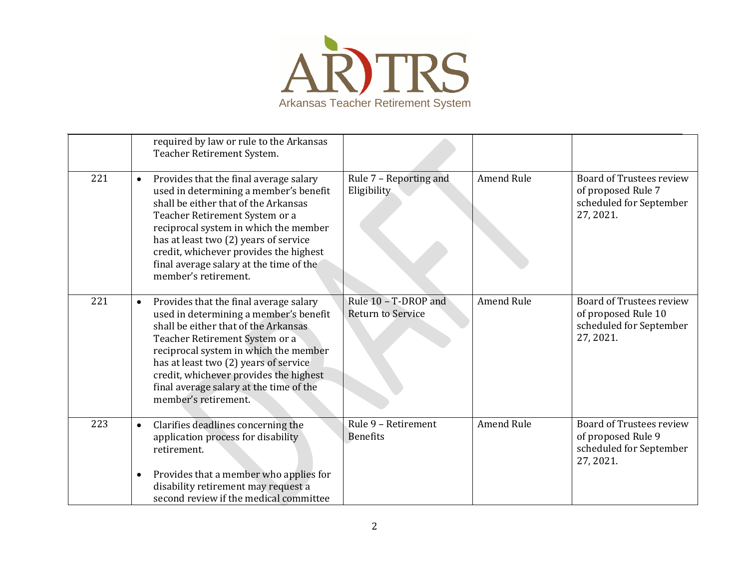

|     |                        | required by law or rule to the Arkansas<br>Teacher Retirement System.                                                                                                                                                                                                                                                                                     |                                           |                   |                                                                                         |
|-----|------------------------|-----------------------------------------------------------------------------------------------------------------------------------------------------------------------------------------------------------------------------------------------------------------------------------------------------------------------------------------------------------|-------------------------------------------|-------------------|-----------------------------------------------------------------------------------------|
| 221 | $\bullet$              | Provides that the final average salary<br>used in determining a member's benefit<br>shall be either that of the Arkansas<br>Teacher Retirement System or a<br>reciprocal system in which the member<br>has at least two (2) years of service<br>credit, whichever provides the highest<br>final average salary at the time of the<br>member's retirement. | Rule 7 - Reporting and<br>Eligibility     | <b>Amend Rule</b> | Board of Trustees review<br>of proposed Rule 7<br>scheduled for September<br>27, 2021.  |
| 221 | $\bullet$              | Provides that the final average salary<br>used in determining a member's benefit<br>shall be either that of the Arkansas<br>Teacher Retirement System or a<br>reciprocal system in which the member<br>has at least two (2) years of service<br>credit, whichever provides the highest<br>final average salary at the time of the<br>member's retirement. | Rule 10 - T-DROP and<br>Return to Service | <b>Amend Rule</b> | Board of Trustees review<br>of proposed Rule 10<br>scheduled for September<br>27, 2021. |
| 223 | $\bullet$<br>$\bullet$ | Clarifies deadlines concerning the<br>application process for disability<br>retirement.<br>Provides that a member who applies for<br>disability retirement may request a<br>second review if the medical committee                                                                                                                                        | Rule 9 - Retirement<br><b>Benefits</b>    | <b>Amend Rule</b> | Board of Trustees review<br>of proposed Rule 9<br>scheduled for September<br>27, 2021.  |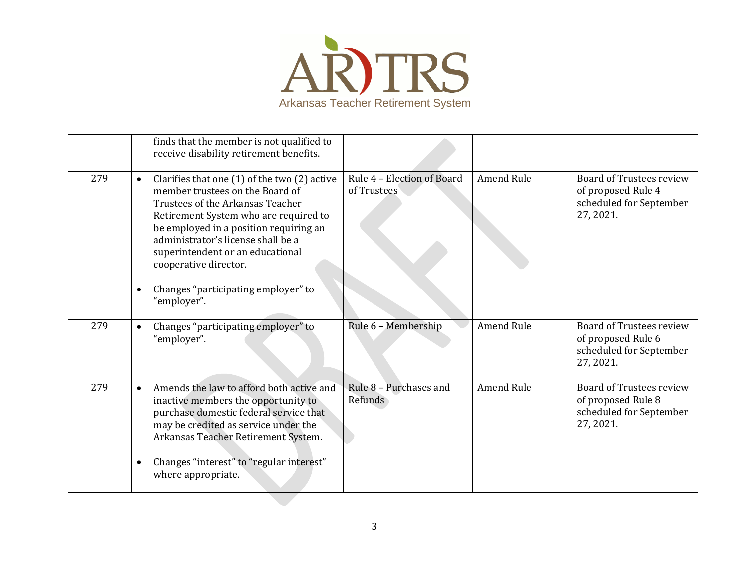

|     |                        | finds that the member is not qualified to<br>receive disability retirement benefits.                                                                                                                                                                                                                                                                                |                                           |                   |                                                                                               |
|-----|------------------------|---------------------------------------------------------------------------------------------------------------------------------------------------------------------------------------------------------------------------------------------------------------------------------------------------------------------------------------------------------------------|-------------------------------------------|-------------------|-----------------------------------------------------------------------------------------------|
| 279 | $\bullet$<br>$\bullet$ | Clarifies that one $(1)$ of the two $(2)$ active<br>member trustees on the Board of<br>Trustees of the Arkansas Teacher<br>Retirement System who are required to<br>be employed in a position requiring an<br>administrator's license shall be a<br>superintendent or an educational<br>cooperative director.<br>Changes "participating employer" to<br>"employer". | Rule 4 - Election of Board<br>of Trustees | Amend Rule        | <b>Board of Trustees review</b><br>of proposed Rule 4<br>scheduled for September<br>27, 2021. |
|     |                        |                                                                                                                                                                                                                                                                                                                                                                     |                                           |                   |                                                                                               |
| 279 | $\bullet$              | Changes "participating employer" to<br>"employer".                                                                                                                                                                                                                                                                                                                  | Rule 6 - Membership                       | <b>Amend Rule</b> | Board of Trustees review<br>of proposed Rule 6<br>scheduled for September<br>27, 2021.        |
| 279 | $\bullet$              | Amends the law to afford both active and<br>inactive members the opportunity to<br>purchase domestic federal service that<br>may be credited as service under the<br>Arkansas Teacher Retirement System.                                                                                                                                                            | Rule 8 - Purchases and<br>Refunds         | <b>Amend Rule</b> | <b>Board of Trustees review</b><br>of proposed Rule 8<br>scheduled for September<br>27, 2021. |
|     | $\bullet$              | Changes "interest" to "regular interest"<br>where appropriate.                                                                                                                                                                                                                                                                                                      |                                           |                   |                                                                                               |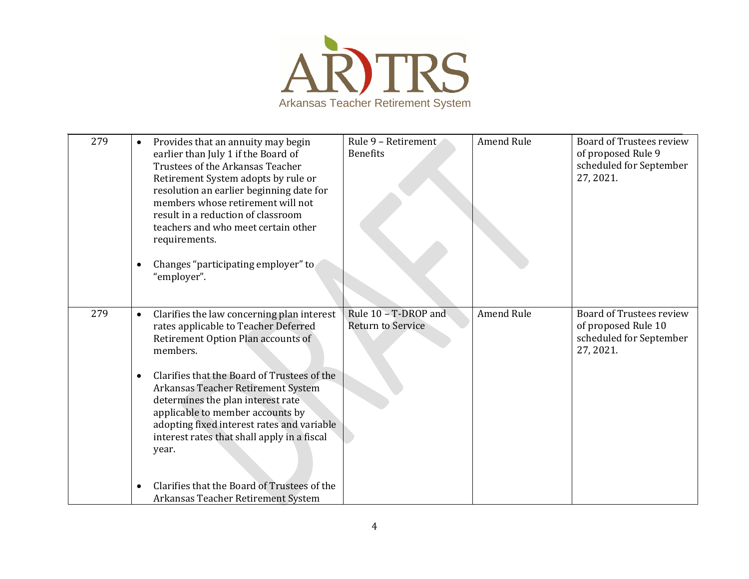

| 279 | $\bullet$<br>$\bullet$ | Provides that an annuity may begin<br>earlier than July 1 if the Board of<br>Trustees of the Arkansas Teacher<br>Retirement System adopts by rule or<br>resolution an earlier beginning date for<br>members whose retirement will not<br>result in a reduction of classroom<br>teachers and who meet certain other<br>requirements.<br>Changes "participating employer" to<br>"employer". | Rule 9 - Retirement<br><b>Benefits</b>           | <b>Amend Rule</b> | Board of Trustees review<br>of proposed Rule 9<br>scheduled for September<br>27, 2021.         |
|-----|------------------------|-------------------------------------------------------------------------------------------------------------------------------------------------------------------------------------------------------------------------------------------------------------------------------------------------------------------------------------------------------------------------------------------|--------------------------------------------------|-------------------|------------------------------------------------------------------------------------------------|
| 279 | $\bullet$              | Clarifies the law concerning plan interest<br>rates applicable to Teacher Deferred<br>Retirement Option Plan accounts of<br>members.                                                                                                                                                                                                                                                      | Rule 10 - T-DROP and<br><b>Return to Service</b> | <b>Amend Rule</b> | <b>Board of Trustees review</b><br>of proposed Rule 10<br>scheduled for September<br>27, 2021. |
|     | $\bullet$              | Clarifies that the Board of Trustees of the<br>Arkansas Teacher Retirement System<br>determines the plan interest rate<br>applicable to member accounts by<br>adopting fixed interest rates and variable<br>interest rates that shall apply in a fiscal<br>year.                                                                                                                          |                                                  |                   |                                                                                                |
|     |                        | Clarifies that the Board of Trustees of the<br>Arkansas Teacher Retirement System                                                                                                                                                                                                                                                                                                         |                                                  |                   |                                                                                                |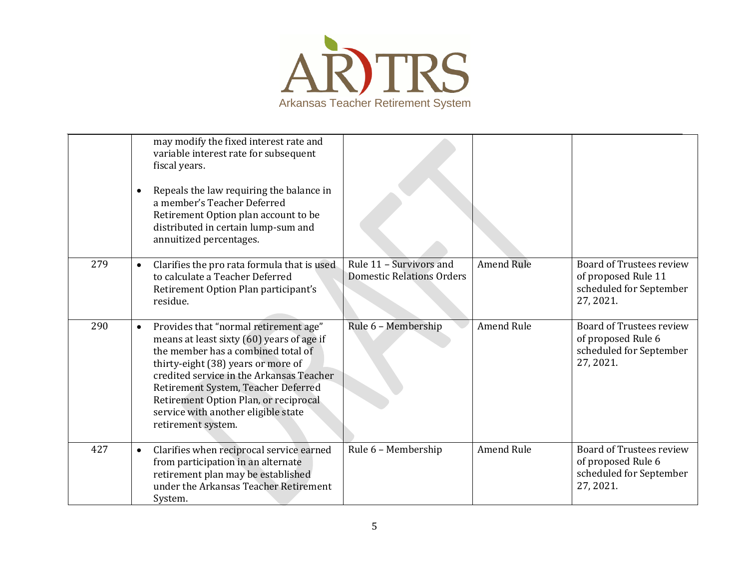

|     | may modify the fixed interest rate and<br>variable interest rate for subsequent<br>fiscal years.<br>Repeals the law requiring the balance in<br>$\bullet$<br>a member's Teacher Deferred<br>Retirement Option plan account to be<br>distributed in certain lump-sum and<br>annuitized percentages.                                                                   |                                                             |                   |                                                                                         |
|-----|----------------------------------------------------------------------------------------------------------------------------------------------------------------------------------------------------------------------------------------------------------------------------------------------------------------------------------------------------------------------|-------------------------------------------------------------|-------------------|-----------------------------------------------------------------------------------------|
| 279 | Clarifies the pro rata formula that is used<br>$\bullet$<br>to calculate a Teacher Deferred<br>Retirement Option Plan participant's<br>residue.                                                                                                                                                                                                                      | Rule 11 - Survivors and<br><b>Domestic Relations Orders</b> | <b>Amend Rule</b> | Board of Trustees review<br>of proposed Rule 11<br>scheduled for September<br>27, 2021. |
| 290 | Provides that "normal retirement age"<br>$\bullet$<br>means at least sixty (60) years of age if<br>the member has a combined total of<br>thirty-eight (38) years or more of<br>credited service in the Arkansas Teacher<br>Retirement System, Teacher Deferred<br>Retirement Option Plan, or reciprocal<br>service with another eligible state<br>retirement system. | Rule 6 - Membership                                         | <b>Amend Rule</b> | Board of Trustees review<br>of proposed Rule 6<br>scheduled for September<br>27, 2021.  |
| 427 | Clarifies when reciprocal service earned<br>$\bullet$<br>from participation in an alternate<br>retirement plan may be established<br>under the Arkansas Teacher Retirement<br>System.                                                                                                                                                                                | Rule 6 - Membership                                         | <b>Amend Rule</b> | Board of Trustees review<br>of proposed Rule 6<br>scheduled for September<br>27, 2021.  |